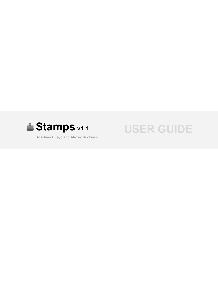

By Adrian Pueyo and Alexey Kuchinski

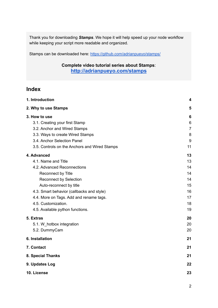Thank you for downloading *Stamps*. We hope it will help speed up your node workflow while keeping your script more readable and organized.

Stamps can be downloaded here: <https://github.com/adrianpueyo/stamps/>

### **[Complete video tutorial series about Stamps](https://vimeo.com/adrianpueyo/comma)**: **<http://adrianpueyo.com/stamps>**

# **Index**

| 1. Introduction                               |                |
|-----------------------------------------------|----------------|
| 2. Why to use Stamps                          | 5              |
| 3. How to use                                 | 6              |
| 3.1. Creating your first Stamp                | 6              |
| 3.2. Anchor and Wired Stamps                  | $\overline{7}$ |
| 3.3. Ways to create Wired Stamps              | 8              |
| 3.4. Anchor Selection Panel                   | 9              |
| 3.5. Controls on the Anchors and Wired Stamps | 11             |
| 4. Advanced                                   | 13             |
| 4.1. Name and Title                           | 13             |
| 4.2. Advanced Reconnections                   | 14             |
| Reconnect by Title                            | 14             |
| <b>Reconnect by Selection</b>                 | 14             |
| Auto-reconnect by title                       | 15             |
| 4.3. Smart behavior (callbacks and style)     | 16             |
| 4.4. More on Tags. Add and rename tags.       | 17             |
| 4.5. Customization.                           | 18             |
| 4.5. Available python functions.              | 19             |
| 5. Extras                                     | 20             |
| 5.1. W_hotbox integration                     | 20             |
| 5.2. DummyCam                                 | 20             |
| 6. Installation                               | 21             |
| 7. Contact                                    | 21             |
| 8. Special Thanks                             | 21             |
| 9. Updates Log                                | 22             |
| 10. License                                   | 23             |
|                                               |                |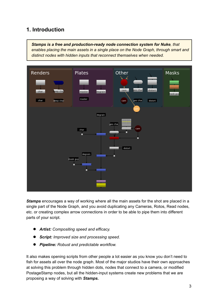# <span id="page-2-0"></span>**1. Introduction**

*Stamps is a free and production-ready node connection system for Nuke, that enables placing the main assets in a single place on the Node Graph, through smart and distinct nodes with hidden inputs that reconnect themselves when needed.*



*Stamps* encourages a way of working where all the main assets for the shot are placed in a single part of the Node Graph, and you avoid duplicating any Cameras, Rotos, Read nodes, etc. or creating complex arrow connections in order to be able to pipe them into different parts of your script.

- **●** *Artist: Compositing speed and efficacy.*
- **●** *Script: Improved size and processing speed.*
- **●** *Pipeline: Robust and predictable workflow.*

It also makes opening scripts from other people a lot easier as you know you don't need to fish for assets all over the node graph. Most of the major studios have their own approaches at solving this problem through hidden dots, nodes that connect to a camera, or modified PostageStamp nodes, but all the hidden-input systems create new problems that we are proposing a way of solving with *Stamps***.**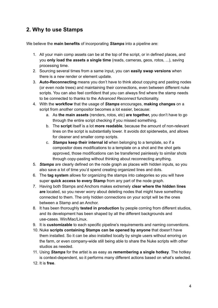# <span id="page-3-0"></span>**2. Why to use Stamps**

We believe the **main benefits** of incorporating *Stamps* into a pipeline are:

- 1. All your main comp assets can be at the top of the script, or in defined places, and you **only load the assets a single time** (reads, cameras, geos, rotos, ...), saving processing time.
- 2. Sourcing several times from a same input, you can **easily swap versions** when there is a new render or element update.
- 3. **Auto-Reconnecting** means you don't have to think about copying and pasting nodes (or even node trees) and maintaining their connections, even between different nuke scripts. You can also feel confident that you can always find where the stamp needs to be connected to thanks to the *Advanced Reconnect* functionality.
- 4. With the **workflow** that the usage of *Stamps* encourages, **making changes** on a script from another compositor becomes a lot easier, because:
	- a. As **the main assets** (renders, rotos, etc) **are together,** you don't have to go through the entire script checking if you missed something.
	- b. The **script** itself is a lot **more readable**, because the amount of non-relevant lines on the script is substantially lower. It avoids dot spiderwebs, and allows for cleaner and smaller comp scripts.
	- c. *Stamps* **keep their internal id** when belonging to a template, so if a compositor does modifications to a template on a shot and the shot gets approved, those modifications can be transferred painlessly to similar shots through copy-pasting without thinking about reconnecting anything.
- 5. *Stamps* are clearly defined on the node graph as places with hidden inputs, so you also save a lot of time you'd spend creating organized lines and dots.
- 6. The **tag system** allows for organizing the stamps into categories so you will have super **quick access to every Stamp** from any part of the node graph.
- 7. Having both Stamps and Anchors makes extremely **clear where the hidden lines are** located, so you never worry about deleting nodes that might have something connected to them. The only hidden connections on your script will be the ones between a Stamp and an Anchor.
- 8. It has been thoroughly **tested in production** by people coming from different studios, and its development has been shaped by all the different backgrounds and use-cases. Win/Mac/Linux.
- 9. It is **customizable** to each specific pipeline's requirements and naming conventions.
- 10. Nuke **scripts containing Stamps can be opened by anyone** that doesn't have them installed. So it can be also installed locally by single users without erroring on the farm, or even company-wide still being able to share the Nuke scripts with other studios as needed.
- 11. Using *Stamps* for the artist is as easy as **remembering a single hotkey**. The hotkey is context-dependent, so it performs many different actions based on what's selected.
- 12. It is **free**.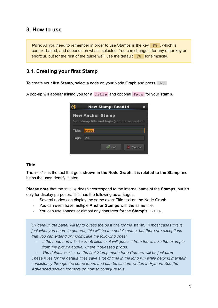## <span id="page-4-0"></span>**3. How to use**

*Note:* All you need to remember in order to use Stamps is the key  $F8$ , which is context-based, and depends on what's selected. You can change it for any other key or shortcut, but for the rest of the quide we'll use the default  $F8$  for simplicity.

## <span id="page-4-1"></span>**3.1. Creating your first Stamp**

To create your first **Stamp**, select a node on your Node Graph and press: F8

A pop-up will appear asking you for a Title and optional Tags for your **stamp**.

|        | <b>New Stamp: Read14</b>                    |  |
|--------|---------------------------------------------|--|
|        | <b>New Anchor Stamp</b>                     |  |
|        | Set Stamp title and tag/s (comma separated) |  |
| Title: | props                                       |  |
| Tags:  | 2D,                                         |  |
|        | Cancel                                      |  |

#### **Title**

The Title is the text that gets **shown in the Node Graph**. It is **related to the Stamp** and helps the user identify it later.

**Please note** that the Title doesn't correspond to the internal name of the **Stamps**, but it's only for display purposes. This has the following advantages:

- Several nodes can display the same exact Title text on the Node Graph.
- You can even have multiple **Anchor Stamps** with the same title.
- You can use spaces or almost any character for the **Stamp's** Title.

*By default, the panel will try to guess the best title for the stamp. In most cases this is just what you need. In general, this will be the node's name, but there are exceptions that you can extend or modify, like the following ones:*

- *If the node has a* file *knob filled in, it will guess it from there. Like the example from the picture above, where it guessed props.*

*- The default* Title *on the first Stamp made for a Camera will be just cam. These rules for the default titles save a lot of time in the long run while helping maintain consistency through the comp team, and can be custom written in Python. See the Advanced section for more on how to configure this.*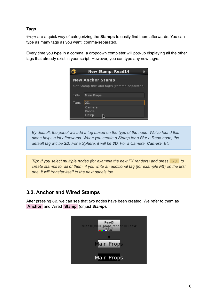### **Tags**

Tags are a quick way of categorizing the **Stamps** to easily find them afterwards. You can type as many tags as you want, comma-separated.

Every time you type in a comma, a dropdown completer will pop-up displaying all the other tags that already exist in your script. However, you can type any new tag/s.



*By default, the panel will add a tag based on the type of the node. We've found this alone helps a lot afterwards. When you create a Stamp for a Blur o Read node, the default tag will be 2D. For a Sphere, it will be 3D. For a Camera, Camera. Etc.*

*Tip: If you select multiple nodes (for example the new FX renders) and press* F8 *to create stamps for all of them, if you write an additional tag (for example FX) on the first one, it will transfer itself to the next panels too.*

# <span id="page-5-0"></span>**3.2. Anchor and Wired Stamps**

After pressing OK, we can see that two nodes have been created. We refer to them as **.Anchor** and Wired **Stamp** (or just *Stamp*).

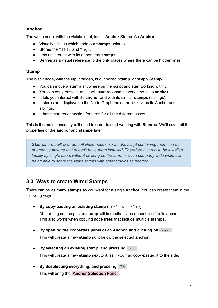### **Anchor**

The white node, with the visible input, is our **Anchor** Stamp. An **Anchor**:

- Visually tells us which node our **stamps** point to.
- Stores the Title and Tags.
- Lets us interact with its dependent **stamps**.
- Serves as a visual reference to the only places where there can be hidden lines.

### **Stamp**

The black node, with the input hidden, is our Wired **Stamp**, or simply **Stamp**.

- You can move a **stamp** anywhere on the script and start working with it.
- You can copy-paste it, and it will auto-reconnect every time to its **anchor**.
- It lets you interact with its **anchor** and with its similar **stamps** (siblings).
- $\bullet$  It stores and displays on the Node Graph the same  $\text{Title}$  as its Anchor and siblings.
- It has smart reconnection features for all the different cases.

This is the main concept you'll need in order to start working with **Stamps**. We'll cover all the properties of the **anchor** and **stamps** later.

*Stamps are built over default Nuke nodes, so a nuke script containing them can be opened by anyone that doesn't have them installed. Therefore it can also be installed locally by single users without erroring on the farm, or even company-wide while still being able to share the Nuke scripts with other studios as needed.*

# <span id="page-6-0"></span>**3.3. Ways to create Wired Stamps**

There can be as many **stamps** as you want for a single **anchor**. You can create them in the following ways:

● **By copy-pasting an existing stamp** (ctrl+c, ctrl+v)

After doing so, the pasted **stamp** will immediately reconnect itself to its anchor. This also works when copying node trees that include multiple **stamps**.

- **● By opening the Properties panel of an Anchor, and clicking on** new . This will create a new **stamp** right below the selected **anchor**.
- **● By selecting an existing stamp, and pressing** F8 . This will create a new **stamp** next to it, as if you had copy-pasted it to the side.
- **● By deselecting everything, and pressing** F8 . This will bring the **Anchor Selection Panel** .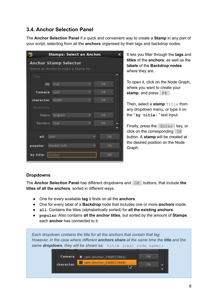# <span id="page-7-0"></span>**3.4. Anchor Selection Panel**

The **Anchor Selection Panel** if a quick and convenient way to create a **Stamp** in any part of your script, selecting from all the **anchors** organised by their tags and backdrop nodes.

|                  | <b>Stamps: Select an Anchor.</b>                               |   |   |           | × |
|------------------|----------------------------------------------------------------|---|---|-----------|---|
|                  | Anchor Stamp Selector<br>Select an Anchor to make a Stamp for. |   |   |           |   |
| Tags             |                                                                |   |   |           |   |
| 2D:              | char                                                           | v |   | <b>OK</b> |   |
| Camera:          | cam                                                            | ۰ |   | <b>OK</b> |   |
| character: depth |                                                                |   |   | OK        |   |
| Backdrops        |                                                                |   |   |           |   |
| Plates:          | degrain                                                        | ▼ |   | <b>OK</b> |   |
| Renders:         | char                                                           | ۰ |   | OK        |   |
|                  |                                                                |   |   |           |   |
| all:             | cam                                                            |   | ۰ | OK        |   |
| popular:         | master (x9)                                                    |   | ۰ | OK        |   |
| by title:        | master                                                         |   |   | OK        |   |

It lets you filter through the **tags** and **titles** of the **anchors**, as well as the **labels** of the **Backdrop nodes** where they are.

To open it, click on the Node Graph, where you want to create your stamp, and press F8.

Then, select a stamp **Title** from any dropdown menu, or type it on the " **by title:** " text input.

Finally, press the Enter key, or click on the corresponding  $OK$ button. A **stamp** will be created at the desired position on the Node Graph.

### **Dropdowns**

The **Anchor Selection Panel** has different dropdowns and OK buttons, that include **the titles of all the anchors**, sorted in different ways.

- One for every available **tag** it finds on all the **anchors**.
- One for every label of a **Backdrop** node that includes one or more **anchors** inside.
- **all**: Contains the titles (alphabetically sorted) for **all the existing anchors**.
- **popular**: Also contains **all the anchor titles**, but sorted by the amount of **Stamps** each **anchor** has connected to it.

|                       | Each dropdown contains the title for all the anchors that contain that tag.<br>However, in the case where different anchors share at the same time the title and the |                      |
|-----------------------|----------------------------------------------------------------------------------------------------------------------------------------------------------------------|----------------------|
|                       | same dropdown, they will be shown as: title (real node name) :                                                                                                       |                      |
| Camera:<br>character: | ---<br><b>※</b> cam (Anchor 23b85134b1)<br>Cam (Anchor_23b85134b8)                                                                                                   | ⊶<br>0K<br><b>OK</b> |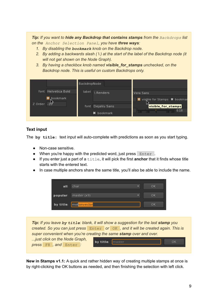*Tip: If you want to hide any Backdrop that contains stamps from the Backdrops list on the Anchor Selection Panel, you have three ways:*

- *1. By disabling the bookmark knob on the Backdrop node.*
- 2. By adding a backwards slash ( $\iota$ ) at the start of the label of the Backdrop node (it *will not get shown on the Node Graph).*
- *3. By having a checkbox knob named visible\_for\_stamps unchecked, on the Backdrop node. This is useful on custom Backdrops only.*

| font Helvetica Bold<br>label<br>Renders<br>Vera Sans<br>bookmark<br>Z Order | BackdropNode     |                                |
|-----------------------------------------------------------------------------|------------------|--------------------------------|
|                                                                             |                  |                                |
|                                                                             |                  | X visible for Stamps X bookmar |
|                                                                             | font DejaVu Sans | visible_for_stamps             |
| 100, 180<br>$-100$<br><b>*</b> bookmark                                     |                  | 0.18                           |

### **Text input**

The **by title:** text input will auto-complete with predictions as soon as you start typing.

- Non-case sensitive.
- When you're happy with the predicted word, just press Enter.
- If you enter just a part of a title, it will pick the first **anchor** that it finds whose title starts with the entered text.
- In case multiple anchors share the same title, you'll also be able to include the name.





**New in Stamps v1.1:** A quick and rather hidden way of creating multiple stamps at once is by right-clicking the OK buttons as needed, and then finishing the selection with left click.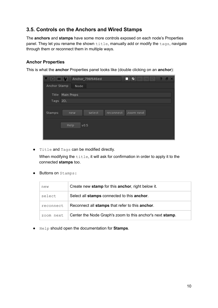# <span id="page-9-0"></span>**3.5. Controls on the Anchors and Wired Stamps**

The **anchors** and **stamps** have some more controls exposed on each node's Properties panel. They let you rename the shown title, manually add or modify the tags, navigate through them or reconnect them in multiple ways.

### **Anchor Properties**

This is what the **anchor** Properties panel looks like (double clicking on an **anchor**):

| $\Delta L$<br>$\bullet$ | $\overline{\mathbf{u}}$<br>□☑<br>Anchor_796f646ed<br>$\boldsymbol{\mathsf{x}}$<br>Ð<br>ĸ |
|-------------------------|------------------------------------------------------------------------------------------|
| Anchor Stamp            | Node                                                                                     |
|                         | Title Main Props                                                                         |
| Tags 2D,                |                                                                                          |
| Stamps:                 | select<br>reconnect<br>zoom next<br>new                                                  |
|                         | v0.5<br>Help                                                                             |
|                         |                                                                                          |

● Title and Tags can be modified directly.

When modifying the  $\text{title}$ , it will ask for confirmation in order to apply it to the connected **stamps** too.

● Buttons on Stamps:

| new       | Create new stamp for this anchor, right below it.         |
|-----------|-----------------------------------------------------------|
| select    | Select all stamps connected to this anchor.               |
| reconnect | Reconnect all stamps that refer to this anchor.           |
| zoom next | Center the Node Graph's zoom to this anchor's next stamp. |

● Help should open the documentation for **Stamps**.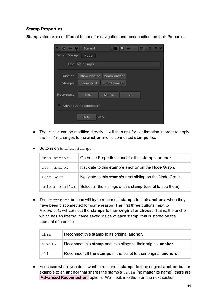### **Stamp Properties**

**Stamps** also expose different buttons for navigation and reconnection, on their Properties.

| $\circ$      | ╱<br>$\mathbf{r}$<br>Stamp9<br>e |
|--------------|----------------------------------|
| Wired Stamp  | Node                             |
| <b>Title</b> | Main Props                       |
| Anchor:      | show anchor<br>zoom anchor       |
| Stamps:      | select similar<br>zoom next      |
| Reconnect:   | this<br>similar<br>all           |
|              | <b>Advanced Reconnection</b>     |
|              | Help<br>v0.5                     |

- The Title can be modified directly. It will then ask for confirmation in order to apply the title changes to the **anchor** and its connected **stamps** too.
- Buttons on Anchor/Stamps:

| show anchor    | Open the Properties panel for this stamp's anchor.          |
|----------------|-------------------------------------------------------------|
| zoom anchor    | Navigate to this stamp's anchor on the Node Graph.          |
| zoom next      | Navigate to this stamp's next sibling on the Node Graph.    |
| select similar | Select all the siblings of this stamp (useful to see them). |

● The Reconnect buttons will try to reconnect **stamps** to their **anchors**, when they have been disconnected for some reason. The first three buttons, next to *Reconnect:*, will connect the **stamps** to their **original anchor/s**. That is, the anchor which has an internal name saved inside of each stamp, that is stored on the moment of creation.

| this    | Reconnect this stamp to its original anchor.                      |
|---------|-------------------------------------------------------------------|
| similar | Reconnect this stamp and its siblings to their original anchor.   |
| all     | Reconnect all the stamps in the script to their original anchors. |

● For cases where you don't want to reconnect **stamps** to their original **anchor**, but for example to an **anchor** that shares the stamp's  $\text{title}$  (no matter its name), there are **.Advanced Reconnection** options. We'll look into them on the next section.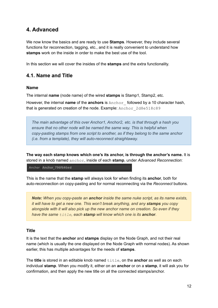# <span id="page-11-0"></span>**4. Advanced**

We now know the basics and are ready to use **Stamps**. However, they include several functions for reconnection, tagging, etc., and it is really convenient to understand how **stamps** work on the inside in order to make the best use of the tool.

In this section we will cover the insides of the **stamps** and the extra functionality.

## <span id="page-11-1"></span>**4.1. Name and Title**

#### **Name**

The internal **name** (node name) of the wired **stamps** is Stamp1, Stamp2, etc.

However, the internal **name** of the **anchors** is Anchor\_ followed by a 10 character hash, that is generated on creation of the node. Example: Anchor 2d8e518c89

*The main advantage of this over Anchor1, Anchor2, etc. is that through a hash you ensure that no other node will be named the same way. This is helpful when copy-pasting stamps from one script to another, as if they belong to the same anchor (i.e. from a template), they will auto-reconnect straightaway.*

**The way each stamp knows which one's its anchor, is through the anchor's name.** It is stored in a knob named anchor, inside of each **stamp**, under *Advanced Reconnection*:

Anchor Anchor 796f646ed

This is the name that the **stamp** will always look for when finding its **anchor**, both for auto-reconnection on copy-pasting and for normal reconnecting via the *Reconnect* buttons.

*Note: When you copy-paste an anchor inside the same nuke script, as its name exists, it will have to get a new one. This won't break anything, and any stamps you copy alongside with it will also pick up the new anchor name on creation. So even if they have the same title, each stamp will know which one is its anchor.*

#### **Title**

It is the text that the **anchor** and **stamps** display on the Node Graph, and not their real name (which is usually the one displayed on the Node Graph with normal nodes). As shown earlier, this has multiple advantages for the needs of **stamps**.

The **title** is stored in an editable knob named title, on the **anchor** as well as on each individual **stamp**. When you modify it, either on an **anchor** or on a **stamp**, it will ask you for confirmation, and then apply the new title on all the connected stamps/anchor.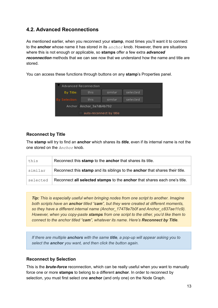# <span id="page-12-0"></span>**4.2. Advanced Reconnections**

As mentioned earlier, when you reconnect your **stamp**, most times you'll want it to connect to the **anchor** whose name it has stored in its *anchor* knob. However, there are situations where this is not enough or applicable, so **stamps** offer a few extra *advanced reconnection* methods that we can see now that we understand how the name and title are stored.

You can access these functions through buttons on any **stamp**'s Properties panel.



### <span id="page-12-1"></span>**Reconnect by Title**

The **stamp** will try to find an **anchor** which shares its *title*, even if its internal name is not the one stored on the *Anchor* knob.

| this     | Reconnect this stamp to the anchor that shares its title.                    |
|----------|------------------------------------------------------------------------------|
| similar  | Reconnect this stamp and its siblings to the anchor that shares their title. |
| selected | Reconnect all selected stamps to the anchor that shares each one's title.    |

*Tip: This is especially useful when bringing nodes from one script to another. Imagine both scripts have an anchor titled "cam", but they were created at different moments, so they have a different internal name (Anchor\_17478e7b0f and Anchor\_c837ae11c9). However, when you copy-paste stamps from one script to the other, you'd like them to connect to the anchor titled "cam", whatever its name. Here's Reconnect by Title.*

*If there are multiple anchors with the same title, a pop-up will appear asking you to select the anchor you want, and then click the button again.*

### <span id="page-12-2"></span>**Reconnect by Selection**

This is the *brute-force* reconnection, which can be really useful when you want to manually force one or more **stamps** to belong to a different **anchor**. In order to reconnect by selection, you must first select one **anchor** (and only one) on the Node Graph.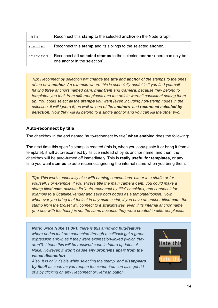| this     | Reconnect this stamp to the selected anchor on the Node Graph.                                           |
|----------|----------------------------------------------------------------------------------------------------------|
| similar  | Reconnect this stamp and its siblings to the selected anchor.                                            |
| selected | Reconnect all selected stamps to the selected anchor (there can only be<br>one anchor in the selection). |

*Tip: Reconnect by selection will change the title and anchor of the stamps to the ones of the new anchor. An example where this is especially useful is if you find yourself having three anchors named cam, mainCam and Camera, because they belong to templates you took from different places and the artists weren't consistent setting them up. You could select all the stamps you want (even including non-stamp nodes in the selection, it will ignore it) as well as one of the anchors, and reconnect selected by selection. Now they will all belong to a single anchor and you can kill the other two.*

### <span id="page-13-0"></span>**Auto-reconnect by title**

The checkbox in the end named "auto-reconnect by title" **when enabled** does the following:

The next time this specific stamp is created (this is, when you copy-paste it or bring it from a template), it will auto-reconnect by its title instead of by its anchor name, and then, the checkbox will be auto-turned off immediately. This is **really useful for templates**, or any time you want **stamps** to auto-reconnect ignoring the internal name when you bring them.

*Tip: This works especially nice with naming conventions, either in a studio or for yourself. For example, if you always title the main camera cam, you could make a stamp titled cam, activate its "auto-reconnect by title" checkbox, and connect it for example to a ScanlineRender and save both nodes as a template/toolset. Now, whenever you bring that toolset in any nuke script, if you have an anchor titled cam, the stamp from the toolset will connect to it straightaway, even if its internal anchor name (the one with the hash) is not the same because they were created in different places.*

*Note: Since Nuke 11.3v1, there is this annoying bug/feature where nodes that are connected through a callback get a green expression arrow, as if they were expression-linked (which they aren't). I hope this will be resolved soon in future updates of Nuke. However, it won't cause any problems apart from the visual discomfort.*

*Also, it is only visible while selecting the stamp, and disappears by itself as soon as you reopen the script. You can also get rid of it by clicking on any Reconnect or Refresh button.*

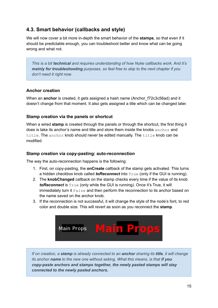# <span id="page-14-0"></span>**4.3. Smart behavior (callbacks and style)**

We will now cover a bit more in-depth the smart behavior of the **stamps**, so that even if it should be predictable enough, you can troubleshoot better and know what can be going wrong and what not.

*This is a bit technical and requires understanding of how Nuke callbacks work. And it's mainly for troubleshooting purposes, so feel free to skip to the next chapter if you don't need it right now.*

### **Anchor creation**

When an **anchor** is created, it gets assigned a hash name (Anchor f72c3c56ad) and it doesn't change from that moment. It also gets assigned a title which can be changed later.

### **Stamp creation via the panels or shortcut**

When a wired **stamp** is created through the panels or through the shortcut, the first thing it does is take its anchor's name and title and store them inside the knobs  $\arctan$  and title. The anchor knob should never be edited manually. The title knob can be modified.

#### **Stamp creation via copy-pasting: auto-reconnection**

The way the auto-reconnection happens is the following:

- 1. First, on copy-pasting, the **onCreate** callback of the stamp gets activated. This turns a hidden checkbox knob called *toReconnect* into True (only if the GUI is running).
- 2. The **knobChanged** callback on the stamp checks every time if the value of its knob **toReconnect** is True (only while the GUI is running). Once it's True, it will immediately turn it False and then perform the reconnection to its anchor based on the name saved on the anchor knob.
- 3. If the reconnection is not successful, it will change the style of the node's font, to red color and double size. This will revert as soon as you reconnect the **stamp**.



*If on creation, a stamp is already connected to an anchor sharing its title, it will change its anchor name to the new one without asking. What this means, is that if you copy-paste anchors and stamps together, the newly pasted stamps will stay connected to the newly pasted anchors.*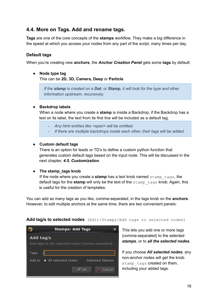## <span id="page-15-0"></span>**4.4. More on Tags. Add and rename tags.**

**Tags** are one of the core concepts of the **stamps** workflow. They make a big difference in the speed at which you access your nodes from any part of the script, many times per day.

### **Default tags**

When you're creating new **anchors**, the *Anchor Creation Panel* gets some **tags** by default:

### **● Node type tag** This can be **2D, 3D, Camera, Deep** or **Particle**.

*If the stamp is created on a Dot, or Stamp, it will look for the type and other information upstream, recursively.*

### **● Backdrop labels**

When a node where you create a **stamp** is inside a Backdrop, if the Backdrop has a text on its label, the text from its first line will be included as a default tag.

- *- Any html entities like <span> will be omitted.*
- *- If there are multiple backdrops inside each other, their tags will be added.*

#### **● Custom default tags**

There is an option for leads or TD's to define a custom python function that generates custom default tags based on the input node. This will be discussed in the next chapter, *4.5. Customization*.

#### **● The stamp\_tags knob**

If the node where you create a **stamp** has a text knob named stamp\_tags, the default tags for the **stamp** will only be the text of the stamp\_tags knob. Again, this is useful for the creation of templates.

You can add as many tags as you like, comma-separated, in the tags knob on the **anchors**. However, to edit multiple anchors at the same time, there are two convenient panels:



Add tag/s to selected nodes (Edit/Stamps/Add tags to selected nodes)

This lets you add one or more tags (comma-separated) to the selected *stamps*, or to *all the selected nodes*.

If you choose *All selected nodes*, any non-anchor nodes will get the knob stamp tags created on them. including your added tags.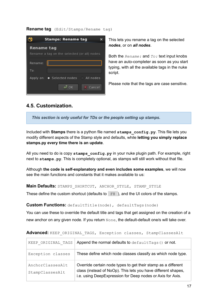#### **Rename tag** (Edit/Stamps/Rename tag)



This lets you rename a tag on the selected *nodes*, or on *all nodes*.

Both the *Rename:* and *To:* text input knobs have an auto-completer as soon as you start typing, with all the available tags in the nuke script.

Please note that the tags are case sensitive.

## <span id="page-16-0"></span>**4.5. Customization.**

*This section is only useful for TDs or the people setting up stamps.*

Included with **Stamps** there is a python file named **stamps\_config.py**. This file lets you modify different aspects of the Stamp style and defaults, while **letting you simply replace stamps.py every time there is an update**.

All you need to do is copy stamps config.py in your nuke plugin path. For example, right next to **stamps.py**. This is completely optional, as stamps will still work without that file.

Although **the code is self-explanatory and even includes some examples**, we will now see the main functions and constants that it makes available to us:

**Main Defaults:** STAMPS\_SHORTCUT, ANCHOR\_STYLE, STAMP\_STYLE

These define the custom shortcut (defaults to  $F8$ ), and the UI colors of the stamps.

**Custom Functions:** defaultTitle(node), defaultTags(node)

You can use these to override the default title and tags that get assigned on the creation of a new anchor on any given node. If you return None, the default-default one/s will take over.

| KEEP ORIGINAL TAGS                  | Append the normal defaults to default Tags () or not.                                                                                                                                        |  |  |  |
|-------------------------------------|----------------------------------------------------------------------------------------------------------------------------------------------------------------------------------------------|--|--|--|
| Exception classes                   | These define which node classes classify as which node type.                                                                                                                                 |  |  |  |
| AnchorClassesAlt<br>StampClassesAlt | Override certain node types to get their stamp as a different<br>class (instead of NoOp). This lets you have different shapes,<br>i.e. using DeepExpression for Deep nodes or Axis for Axis. |  |  |  |

#### Advanced: KEEP ORIGINAL TAGS, Exception classes, StampClassesAlt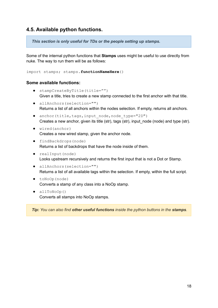## <span id="page-17-0"></span>**4.5. Available python functions.**

*This section is only useful for TDs or the people setting up stamps.*

Some of the internal python functions that **Stamps** uses might be useful to use directly from nuke. The way to run them will be as follows:

import stamps; stamps.**functionNameHere**()

#### **Some available functions:**

- stampCreateByTitle(title="") Given a title, tries to create a new stamp connected to the first anchor with that title.
- allAnchors(selection="") Returns a list of all anchors within the nodes selection. If empty, returns all anchors.
- anchor(title,tags,input node,node type="2D") Creates a new anchor, given its title (str), tags (str), input\_node (node) and type (str).
- wired(anchor) Creates a new wired stamp, given the anchor node.
- findBackdrops(node) Returns a list of backdrops that have the node inside of them.
- realInput(node) Looks upstream recursively and returns the first input that is not a Dot or Stamp.
- allAnchors(selection="") Returns a list of all available tags within the selection. If empty, within the full script.
- toNoOp(node) Converts a stamp of any class into a NoOp stamp.
- allToNoOp() Converts all stamps into NoOp stamps.

*Tip: You can also find other useful functions inside the python buttons in the stamps.*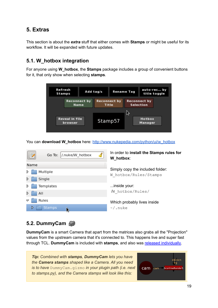# <span id="page-18-0"></span>**5. Extras**

This section is about the *extra* stuff that either comes with **Stamps** or might be useful for its workflow. It will be expanded with future updates.

# <span id="page-18-1"></span>**5.1. W\_hotbox integration**

For anyone using **W\_hotbox**, the **Stamps** package includes a group of convenient buttons for it, that only show when selecting **stamps**.



You can **download W\_hotbox** here: [http://www.nukepedia.com/python/ui/w\\_hotbox](http://www.nukepedia.com/python/ui/w_hotbox)

|      | $\mathbb P$ | Go To:        | /.nuke/W_hotbox             |  | In order to install the Stamps rules for<br>W_hotbox: |  |
|------|-------------|---------------|-----------------------------|--|-------------------------------------------------------|--|
| Name |             |               |                             |  |                                                       |  |
| ▷    |             | Multiple      |                             |  | Simply copy the included folder:                      |  |
| D    |             | Single        |                             |  | W hotbox/Rules/Stamps                                 |  |
| ▷    |             | Templates     |                             |  | inside your:                                          |  |
| D    |             | All           |                             |  | /W hotbox/Rules/                                      |  |
| ▽    | Rules       |               | Which probably lives inside |  |                                                       |  |
|      |             | <b>Stamps</b> |                             |  | $\sim$ /. nuke                                        |  |
|      |             |               |                             |  |                                                       |  |

# <span id="page-18-2"></span>**5.2. DummyCam**

**DummyCam** is a smart Camera that apart from the matrices also grabs all the "Projection" values from the upstream camera that it's connected to. This happens live and super fast through TCL. **DummyCam** is included with **stamps**, and also was released individually.

*Tip: Combined with stamps, DummyCam lets you have the Camera stamps shaped like a Camera. All you need is to have* DummyCam.gizmo *in your plugin path (i.e. next to stamps.py), and the Camera stamps will look like this:*

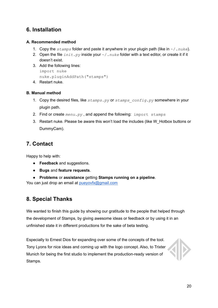# <span id="page-19-0"></span>**6. Installation**

### **A. Recommended method**

- 1. Copy the *stamps* folder and paste it anywhere in your plugin path (like in ~/*.nuke*).
- 2. Open the file *init.py* inside your ~/*.nuke* folder with a text editor, or create it if it doesn't exist.
- 3. Add the following lines: import nuke nuke.pluginAddPath("stamps")
- 4. Restart nuke.

### **B. Manual method**

- 1. Copy the desired files, like *stamps.py* or *stamps\_config.py* somewhere in your plugin path.
- 2. Find or create *menu.py* , and append the following: import stamps
- 3. Restart nuke. Please be aware this won't load the includes (like W\_Hotbox buttons or DummyCam).

# <span id="page-19-1"></span>**7. Contact**

Happy to help with:

- **Feedback** and suggestions.
- **Bugs** and **feature requests**.
- **Problems** or **assistance** getting **Stamps running on a pipeline**.

You can just drop an email at [pueyovfx@gmail.com](mailto:pueyovfx@gmail.com)

# <span id="page-19-2"></span>**8. Special Thanks**

We wanted to finish this guide by showing our gratitude to the people that helped through the development of Stamps, by giving awesome ideas or feedback or by using it in an unfinished state it in different productions for the sake of beta testing.

Especially to Ernest Dios for expanding over some of the concepts of the tool. Tony Lyons for nice ideas and coming up with the logo concept. Also, to Trixter Munich for being the first studio to implement the production-ready version of Stamps.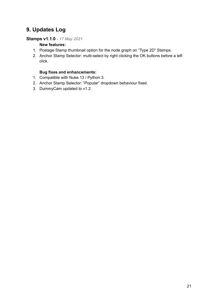# **9. Updates Log**

### **Stamps v1.1.0** *- 17 May 2021*

### **New features:**

- 1. Postage Stamp thumbnail option for the node graph on "Type 2D" Stamps.
- 2. Anchor Stamp Selector: multi-select by right clicking the OK buttons before a left click.

#### **Bug fixes and enhancements:**

- 1. Compatible with Nuke 13 / Python 3.
- 2. Anchor Stamp Selector: "Popular" dropdown behaviour fixed.
- 3. DummyCam updated to v1.2.